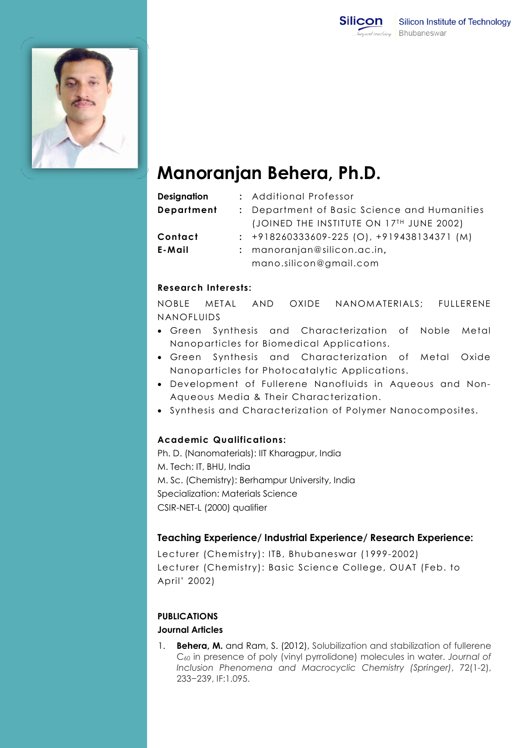



# Manoranjan Behera, Ph.D.

| <b>Designation</b> | : Additional Professor                         |
|--------------------|------------------------------------------------|
| <b>Department</b>  | : Department of Basic Science and Humanities   |
|                    | (JOINED THE INSTITUTE ON 17TH JUNE 2002)       |
| Contact            | $: +918260333609 - 225 (O), +919438134371 (M)$ |
| E-Mail             | $:$ manoranjan@silicon.ac.in,                  |
|                    | mano.silicon@gmail.com                         |

## Research Interests:

NOBLE METAL AND OXID NANOFLUIDS METAL AND OXIDE NANOMATERIALS; FULLERENE

- Green Synthesis and Characterization of Noble Metal Nanoparticles for Biomedical Applications.
- Green Synthesis and Characterization of Metal Oxide Nanoparticles for Photocatalytic Applications.
- Development of Fullerene Nanofluids in Aqueous and Non-Aqueous Media & Their Characterization Aqueous Media Characterization.
- Synthesis and Characterization of Polymer Nanocomposites.

## Academic Academic Qualifications:

Ph. D. (Nanomaterials): (Nanomaterials): IIT Kharagpur, India M. Tech Tech: IT, BHU, India M. Sc. (Chemistry): Berhampur University, India Specialization: Materials Science CSIR-NET-L (2000) qualifier :. (Chemistry): Berhampur<br>ialization: Materials Scienc<br>NET-L (2000) qualifier

## Teaching Experience/ Industrial Experience/ Research Experience Experience/ Industrial Experience/ Experience:

Lecturer ( (Chemistry): ITB, Bhubaneswar (1999 (1999-2002) Lecturer (Chemistry): Basic Science College College, OUAT (Feb. to April' 2002)

#### PUBLICATIONS

#### Journal Articles Journal Articles

1. **Behera, M.** and Ram, S. (2012), Solubilization and stabilization of fullerene C<sub>60</sub> in presence of poly (vinyl pyrrolidone) molecules in water. Journal of Inclusion Phenomena and Macrocyclic Chemistry (Springer) (Springer), 72(1-2), 233 233−239, IF:1.095.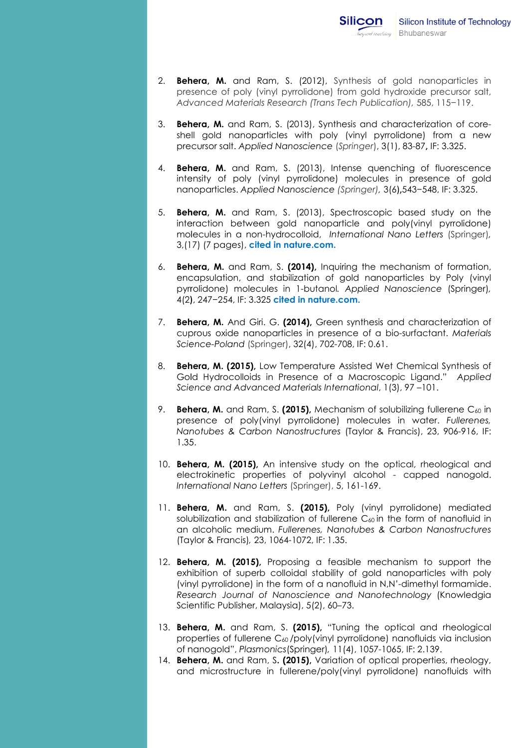- 2. **Behera, M.** and Ram, S. (2012), Synthesis of gold nanoparticles in presence of poly (vinyl pyrrolidone) from gold hydroxide precursor salt, Advanced Materials Research (Trans Tech Publication), 585, 115−119.
- 3. **Behera, M.** and Ram, S. (2013), Synthesis and characterization of coreshell gold nanoparticles with poly (vinyl pyrrolidone) from a new precursor salt. Applied Nanoscience (Springer), 3(1), 83-87, IF: 3.325.
- 4. **Behera, M.** and Ram, S. (2013), Intense quenching of fluorescence intensity of poly (vinyl pyrrolidone) molecules in presence of gold nanoparticles. Applied Nanoscience (Springer), 3(6),543−548, IF: 3.325.
- 5. **Behera, M.** and Ram, S. (2013), Spectroscopic based study on the interaction between gold nanoparticle and poly(vinyl pyrrolidone) interaction between gold nanoparticle and poly(vinyl pyrrolidone)<br>molecules in a non-hydrocolloid, International Nano Letters (Springer), 3,(17) (7 pages), cited in nature.com.
- 6. Behera, M. M. and Ram, S. (2014), Inquiring the mechanism of formation, encapsulation, and stabilization of gold nanoparticles by Poly Poly (vinyl encapsulation, and stabilization of gold nanoparticles by Poly (vinyl<br>pyrrolidone) molecules in 1-butanol. Applied Nanoscience (Springer), 4(2), 247-254, IF: 3.325 cited in nature.com.
- 7. Behera, M. And Giri. G. (2014), Green synthesis and characterization of cuprous oxide nanoparticles in presence of a bio-surfactant. Materials Science Science-Poland (Springer), 32(4), 702-708, IF: 0.61 0.61.
- 8. Behera, M. (2015), Low Temperature Assisted Wet Chemical Synthesis of Gold Hydrocolloids in Presence of a Macroscopic Ligand." Applied Science and Advanced Materials International, 1(3), 97–101.
- 9. Behera, M. and Ram, S. (2015), Mechanism of solubilizing fullerene C<sub>60</sub> in presence of poly(vinyl pyrrolidone) molecules in water. Fullerenes, Nanotubes & Carbon Nanostructures (Taylor & Francis), 23, 906-916, IF: 1.35 1.35.
- 10. **Behera, M. (2015)**, An intensive study on the optical, rheological and electrokinetic properties of polyvinyl alcohol alcohol - capped nanogold. International Nano Letters (Springer), 5, 161-169.
- 11. Behera, M. M. and Ram, S. (2015), Poly (vinyl pyrrolidone) mediated solubilization and stabilization of fullerene  $C_{60}$  in the form of nanofluid in an alcoholic medium. Fullerenes, Nanotubes & Carbon Nanostructures (Taylor & Francis) & Francis), 23, 1064-1072, IF: 1.35.
- 12. **Behera, M. (2015)**, Proposing a feasible mechanism to support the exhibition of superb colloidal stability of gold nanoparticles with poly (vinyl pyrrolidone) in the form of a nanofluid in N,N'-dimethyl formamide. Research Journal of Nanoscience and Nanotechnology (Knowledgia Scientific Publisher, Malaysia), 5(2), 60–73.
- 13. **Behera, M.** and Ram, S. (2015), "Tuning the optical and rheological properties of fullerene C <sup>60</sup>/poly(vinyl pyrrolidone) nanofluids via inclusion of nanogold", Plasmonics(Springer), 11(4), 1057-1065, 1065, IF: 2.139.
- 14. **Behera, M.** and Ram, S. (2015), Variation of optical properties, rheology, and microstructure in fullerene/poly(vinyl pyrrolidone) nanofluids with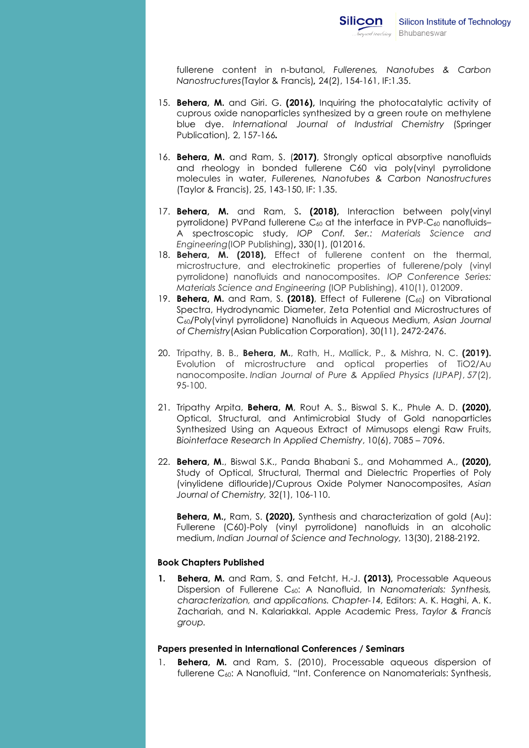fullerene content in n-butanol, Fullerenes, Nanotubes & Carbon Nanostructures (Taylor & Francis), 24(2), 154-161, IF:1.35.

- 15. Behera, M. and Giri. G. (2016), Inquiring the photocatalytic activity of cuprous oxide nanoparticles synthesized by a green route on methylene blue dye. International Journal of Industrial Chemistry (Springer Publication Publication), 2, 157-166.
- 16. Behera, M. and Ram, S. (2017), Strongly optical absorptive nanofluids and rheology in bonded fullerene C60 via poly(vinyl pyrrolidone molecules in water in water, Fullerenes, Nanotubes & Carbon Nanostructures (Taylor & Francis) & Francis), 25, 143-150, IF: 1.35.
- 17. **Behera, M.** and Ram, S. (2018), Interaction between poly(vinyl pyrrolidone) PVPand fullerene C<sub>60</sub> at the interface in PVP-C<sub>60</sub> nanofluids-A spectroscopic study, IOP Conf. Ser.: Materials Science and Engineering (IOP Publishing), 330(1), (012016.
- 18. Behera, M. (2018), Effect of fullerene content on the thermal, microstructure, and electrokinetic properties of fullerene/poly (vinyl pyrrolidone) nanofluids and nanocomposites. IOP Conference Series: Materials Science and Engineering (IOP Publishing) Publishing), 410(1), 012009.
- 19. **Behera, M.** and Ram, S. (2018), Effect of Fullerene  $(C_{60})$  on Vibrational Spectra, Hydrodynamic Diameter, Zeta Hydrodynamic Potential and Microstructures of C60/Poly(vinyl pyrrolidone) Nanofluids in Aqueous Medium, Asian Journal C<sub>60</sub>/Poly(vinyl pyrrolidone) Nanofluids in Aqueous Medium, Asic<br>of Chemistry(Asian Publication Corporation), 30(11), 2472-2476.
- 20. Tripathy, B. B., Behera, M., Rath, H., Mallick, P., & Mishra, N. C. (2019). Evolution of microstructure and optical properties of TiO2/Au nanocomposite. Indian Journal of Pure & Applied Physics (IJPAP) , 57(2), 95-100.
- 95-100.<br>21. Tripathy Arpita, **Behera, M**, Rout A. S., Biswal S. K., Phule A. D. **(2020),** Optical, Structural, and Antimicrobial Study of Gold nanoparticles Synthesized Using an Aqueous Extract of Mimusops elengi Raw Fruits, Synthesized Using an Aqueous Extract of Mimusops elengi F<br>Biointerface Research In Applied Chemistry, 10(6), 7085 – 7096.
- 22. Behera, M., Biswal S.K., Panda Bhabani S., and Mohammed A., (2020), Study of Optical, Structural, Thermal and Dielectric Properties of Poly (vinylidene diflouride)/Cuprous Oxide Polymer Nanocomposites, Asian Journal of Chemistry, 32(1), 106-110.

Behera, M., Ram, S. (2020), Synthesis and characterization of gold (Au): Fullerene (C (C60)-Poly (vinyl pyrrolidone) nanofluids in an alcoholic medium, Indian Journal of Science and Technology, 13(30), 2188-2192.

#### Book Chapters hapters Published

1. Behera, M. and Ram, S. and Fetcht, H.-J. (2013), Processable Aqueous Dispersion of Fullerene C<sub>60</sub>: A Nanofluid, In Nanomaterials: Synthesis, characterization, and applications. Chapter-14, Editors: A. K. Haghi, A. K. Zachariah, and N. Kalariakkal. Apple Academic Press, Taylor & Francis group. group.

#### Papers presented in International Conferences / Seminars

1. **Behera, M.** and Ram, S. (2010), Processable aqueous dispersion of fullerene C <sup>60</sup>: A Nanofluid, "Int. Conference on Nanomaterials: Synthesis,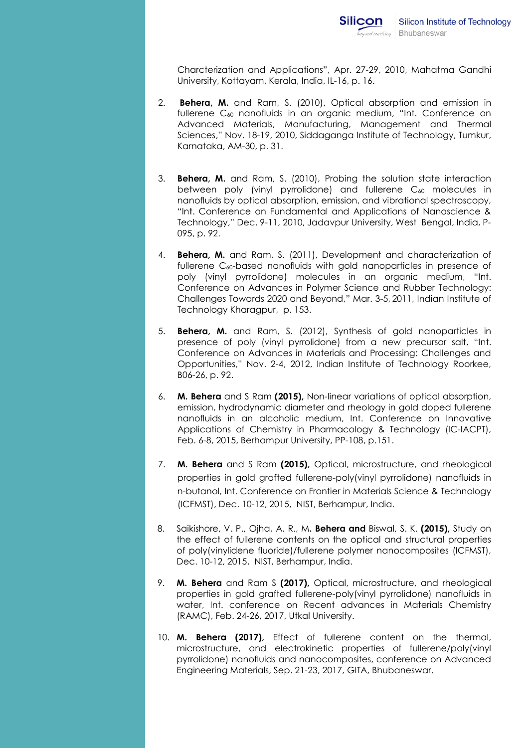Charcterization and Applications", Apr. 27-29, 2010, Mahatma Gandhi University, Kottayam, Kerala, India, IL-16, p. 16.

- 2. **Behera, M.** and Ram, S. (2010), Optical absorption and emission in fullerene C<sub>60</sub> nanofluids in an organic medium, "Int. Conference on Advanced Materials, Manufacturing, Management and Thermal Sciences Sciences," Nov. 18-19, 2010, Siddaganga Institute of Technology, Tumkur, Karnataka, AM AM-30, p. 31.
- 3. **Behera, M.** and Ram, S. (2010), Probing the solution state interaction between poly (vinyl pyrrolidone) and fullerene C<sub>60</sub> molecules in nanofluids by optical absorption, emission, and vi vibrational spectroscopy, "Int "Int. Conference on Fundamental and Applications of Nanoscience & Technology Technology," Dec. 9-11, 2010, Jadavpur University, West Bengal, India, P P-095, p. 92.
- 4. Behera, M. and Ram, S. (2011), Development and characterization of fullerene C C60-based nanofluids with gold nanoparticles in presence of fullerene C60-based nanofluids with gold nanoparticles in presence of<br>poly (vinyl pyrrolidone) molecules in an organic medium, "Int. Conference on Advances in Polymer Science and Rubber Technology: Conference on Advances in Polymer Science and Rubber Technology:<br>Challenges Towards 2020 and Beyond,'' Mar. 3-5, 2011, Indian Institute of Technology Kharagpur, Kharagpur, p. 153.
- 5. **Behera, M.** and Ram, S. (2012), Synthesis of gold nanoparticles in presence of poly (vinyl pyrrolidone) from a new precursor salt, "Int. Conference on Advances in Materials and Processing: Challenges and Conference on Advances in Materials and Processing: Challenges and<br>Opportunities,'' Nov. 2-4, 2012, Indian Institute of Technology Roorkee, B06 B06-26, p. 92.
- 6. M. Behera and S Ram (2015), Non-linear variations of optical absorption, emission, hydrodynamic diameter and rheology in gold doped fullerene nanofluids in an alcoholic medium, Int. Conference on Innovative Applications of Chemistry in Pharmacology & Technology<br>Feb. 6-8, 2015, Berhampur University, PP-108, p.151. Feb. 6-8, 2015, Berhampur University, PP-108, p.151. linear variations of optical absorption,<br>and rheology in gold doped fullerene<br>ium, Int. Conference on Innovative<br>rmacology & Technology (IC-IACPT),
- 7. M. Behera and S Ram (2015), Optical, microstructure, and rheological properties in gold grafted fullerene-poly(vinyl pyrrolidone) nanofluids in Feb. 6-8, 2015, Berhampur University, PP-108, p.151.<br>**M. Behera** and S Ram **(2015)**, Optical, microstructure, and rheological<br>properties in gold grafted fullerene-poly(vinyl pyrrolidone) nanofluids in<br>n-butanol, Int. Confe (ICFMST ICFMST), Dec. 10-12, 2015, NIST, Berhampur, India.
- 8. Saikishore, V. P., Ojha, A. R., M**. Behera and** Biswal, S. K. **(2015),** Study on the effect of fullerene contents on the optical and structural properties of poly(vinylidene fluoride)/fullerene polymer nanocomposites (ICFMST), Dec. Dec. 10-12, 2015, NIST, Berhampur, India.
- 9. **M. Behera** and Ram S (2017), Optical, microstructure, and rheological properties in g gold grafted fullerene-poly(vinyl pyrrolidone) nanofluids in water, water, Int. conference on Recent advances in Materials Chemistry (RAMC), Feb. 24-26, 2017, Utkal University. properties in gold grafted fullerene-poly(vinyl pyrrolidone) nanofluids in<br>
water, Int. conference on Recent advances in Materials Chemistry<br>
(RAMC), Feb. 24-26, 2017, Utkal University.<br>
10. **M. Behera (2017)**, Effect of f
- microstructure, and electrokinetic properties of fullerene/poly(vinyl microstructure, and electrokinetic properties of fullerene/poly(vinyl<br>pyrrolidone) nanofluids and nanocomposites, conference on Advanced Engineering Materials, Materials, Sep. 21-23, 2017, GITA, Bhubaneswar.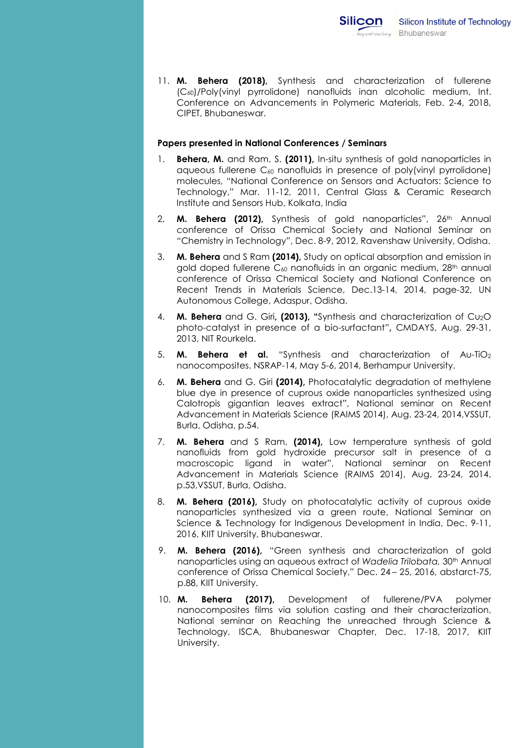11. M. Behera (2018), Synthesis and characterization of fullerene (C<sup>60</sup> )/Poly(vinyl pyrrolidone) nanofluids inan alcoholic medium, Int. Conf Conference on Advancements in Polymeric Materials, Feb. 2-4, 2018, CIPET, Bhubaneswar. Bhubaneswar.

#### Papers presented in National Conferences / Seminars

- 1. Behera, M. and Ram, S. (2011), In-situ synthesis of gold nanoparticles in aqueous fullerene C aqueous <sup>60</sup> nanofluids in presence of poly(vinyl pyrrolidone) molecules, "National Conference on Sensors and Actuators: Science to molecules, "National Conference on Sensors and Actuators: Science to<br>Technology," Mar. 11-12, 2011, Central Glass & Ceramic Research Institute and Sensors Hub, Kolkata, India
- 2. M. Behera conference of Orissa Chemical Society and National Seminar on conference of Orissa Chemical Society and National Seminar on<br>"Chemistry in Technology", Dec. 8-9, 2012, Ravenshaw University, Odisha. **M. Behera (2012)**, Synthesis of gold nanoparticles", 26<sup>th</sup> Annual
- 3. M. Behera and S Ram (2014), Study on optical absorption and emission in gold doped fullerene C<sub>60</sub> nanofluids in an organic medium, 28<sup>th</sup> annual conference of Orissa Chemical Society and National Conference on Recent Trends in Materials Science, Dec.13-14, 2014, page-32, UN Autonomous College, Adaspur, Odisha.
- 4. **M. Behera** and G. Giri, (2013), "Synthesis and characterization of  $Cu<sub>2</sub>O$ photo-catalyst in presence of a bio-surfactant", CMDAYS, Aug. 29-31, 2013, NIT Rourkela.
- 5. **M. Behera et al.** "Synthesis and characterization of Au-TiO2 nanocomposites. NSRAP-14, May 5-6, 2014, Berhampur University.
- 6. M. Behera Behera and G. Giri (2014), Photocatalytic degradation of methylene blue dye in presence of cuprous oxide nanoparticles synthesized using blue dye in presence of cuprous oxide nanoparticles synthesized using<br>Calotropis gigantian leaves extract'', National seminar on Recent Advancement in Materials Science (RAIMS 2014), Aug. 23-24, 2014,VSSUT, Burla, Odisha, p.54.
- 7. M. Behera and S Ram, (2014), Low temperature synthesis of gold nanofluids from gold hydroxide precursor salt in presence of a macroscopic ligand in water", National seminar on Recent Advancement in Materials Science (RAIMS 2014), p.53, VSSUT, Burla, Odisha. macroscopic ligand in water",<br>Advancement in Materials Science<br>p.53,VSSUT, Burla, Odisha. Aug. 23-24, 2014,
- 8. M. nanoparticles synthesized via a green route, National Seminar on Science & Technology for Indigenous Development in India, Dec. 9-11, Science & Technology for Indigenous<br>2016, KIIT University, Bhubaneswar. M. Behera (2016), Study on photocatalytic activity of cuprous oxide
- 9. **M. Behera (2016)**, "Green synthesis and characterization of gold **M. Behera (2016),** "Green synthesis and characterization of gold<br>nanoparticles using an aqueous extract of Wadelia Trilobata, 30th Annual conference of Orissa Chemical Society," Dec. 24 – 25, 2016, abstarct-75, p.88 88, KIIT University.
- 10. M. Behera (2017), nanocomposites films via solution casting and their characterization, National seminar on Reaching the unreached through Science & Technology, ISCA, Bhubaneswar Chapter, University. Development of fullerene/PVA polymer National seminar on Reaching the unreached<br>Technology, ISCA, Bhubaneswar Chapter, De<br>University. Dec. 17-18, 2017, KIIT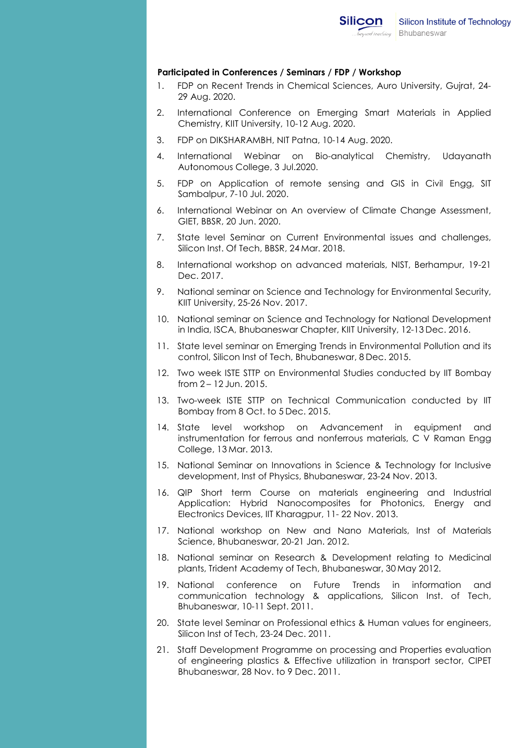

#### Participated Participated in Conferences / Seminars / FDP / Workshop

- 1. FDP on Recent Trends in Chemical Sciences, Auro University, Gujrat, 24-<br>29 Aug. 2020. 29 Aug. 2020.
- 2. International Conference on Emerging Smart Materials in Applied Chemistry, KIIT University, 10 Chemistry, 10-12 Aug. 2020.
- 3. FDP on DIKSHARAMBH, NIT Patna, 10-14 Aug. 2020.
- 4. International Webinar on Bio-analytical Chemistry, Udayanath Autonomous Autonomous College, 3 Jul.2020.
- 5. FDP on Application of remote sensing and GIS in Civil Engg, SIT Sambalpur, 7 Sambalpur, 7-10 Jul. 2020. analytical Chemistry, Udayanath<br>sensing and GIS in Civil Engg, SIT<br>iew of Climate Change Assessment,<br>nvironmental issues and challenges,<br>018.<br>ed materials, NIST, Berhampur, 19-21
- 6. International Webinar on An overview of Climate Change Assessment, GIET, BBSR, 2 GIET, BBSR, 20 Jun. 2020.
- 7. State level Seminar on Current Environmental issues and challenges, Silicon Inst. Of Tech, BBSR, 24 Mar. 2018.
- 8. International workshop on advanced materials, NIST, Berhampur, 1<br>Dec. 2017. Dec. 2017.
- 9. National seminar on Science and Technology for Environmental Security, KIIT University, KIIT University, 25-26 Nov. 2017.
- 10. National seminar on Science and Technology for National Development in India, ISCA, Bhubaneswar Chapter, KIIT University, 12-13 Dec. 2016.
- 11. State level seminar on Emerging Trends in Environmental Pollution and its control, Silicon Inst of Tech, Bhubaneswar, 8 Dec. 2015.
- 12. Two week ISTE STTP on Environmental Studies conducted by IIT Bombay from 2-12 Jun. 2015. from 2-12 Jun. 2015.
- 13. Two-week ISTE STTP on Technical Communication conducted by IIT Bombay from 8 Oct. to 5 Dec. 2015.
- 14. State level workshop on Advancement in equipment and instrumentation for ferrous and nonferrous materials, C V Raman Engg College, 13 Mar. 2013. State level workshop on Advancement in equipment<br>instrumentation-for-ferrous-and-nonferrous-materials, C-V-Ramar<br>College, 13.Mar. 2013.
- 15. National Seminar on Innovations in Science & Technology for Inclusive development, Inst development, Inst of Physics, Bhubaneswar, 23-24 24 Nov. 2013.
- 16. QIP Short term Course on materials engineering and Industrial Application: Hybrid Nanocomposites for Photonics, Energy and Electronics Devices, IIT Kharagpur, 11-22 Nov. 2013.
- 17. National workshop on New and Nano Materials, Inst of Materials<br>Science, Bhubaneswar, 20-21 Jan. 2012. Science, Bhubaneswar, 20-21. Jan. 2012
- 18. National seminar on Research & Development relating to Medicinal plants, Trident Academy of Tech, Bhubaneswar, 30 May 2012.
- 19. National conf conference on Future Trends in information and National conference on Future Trends in information and<br>communication technology & applications, Silicon Inst. of Tech, communication technology &<br>Bhubaneswar, 10-11 Sept. 2011.
- 20. State level Seminar on Professional ethics & Human values for engineers,<br>Silicon Inst of Tech, 23-24 Dec. 2011. Silicon Inst of Tech, 23-24 Dec. 2011.
- 21. Staff Development Programme on processing and Properties evaluation of engineering plastics & Effective utilization in transport sector, CIPET Bhubaneswar, 28 Nov. to 9 Dec. 2011. Staff Development Programme on processing and Properties evalı<br>of engineering plastics & Effective utilization in transport sector,<br>Bhubaneswar, 28 Nov. to 9 Dec. 2011.